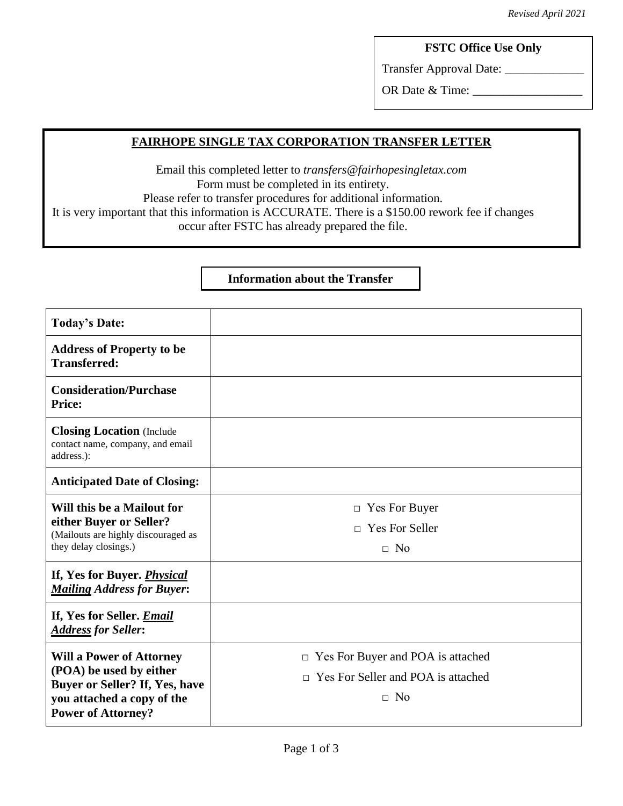## **FSTC Office Use Only**

Transfer Approval Date: \_\_\_\_\_\_\_\_\_\_\_\_\_

OR Date & Time:

## **FAIRHOPE SINGLE TAX CORPORATION TRANSFER LETTER**

Email this completed letter to *transfers@fairhopesingletax.com* Form must be completed in its entirety. Please refer to transfer procedures for additional information. It is very important that this information is ACCURATE. There is a \$150.00 rework fee if changes occur after FSTC has already prepared the file.

### **Information about the Transfer**

| <b>Today's Date:</b>                                                                                                                                    |                                                                                                       |
|---------------------------------------------------------------------------------------------------------------------------------------------------------|-------------------------------------------------------------------------------------------------------|
| <b>Address of Property to be</b><br><b>Transferred:</b>                                                                                                 |                                                                                                       |
| <b>Consideration/Purchase</b><br>Price:                                                                                                                 |                                                                                                       |
| <b>Closing Location</b> (Include<br>contact name, company, and email<br>address.):                                                                      |                                                                                                       |
| <b>Anticipated Date of Closing:</b>                                                                                                                     |                                                                                                       |
| Will this be a Mailout for<br>either Buyer or Seller?<br>(Mailouts are highly discouraged as<br>they delay closings.)                                   | Yes For Buyer<br>$\Box$<br><b>Yes For Seller</b><br>$\Box$<br>$\Box$ No                               |
| If, Yes for Buyer. <i>Physical</i><br><b>Mailing Address for Buyer:</b>                                                                                 |                                                                                                       |
| If, Yes for Seller. <i>Email</i><br><b>Address for Seller:</b>                                                                                          |                                                                                                       |
| <b>Will a Power of Attorney</b><br>(POA) be used by either<br>Buyer or Seller? If, Yes, have<br>you attached a copy of the<br><b>Power of Attorney?</b> | Yes For Buyer and POA is attached<br>$\Box$<br>$\Box$ Yes For Seller and POA is attached<br>$\Box$ No |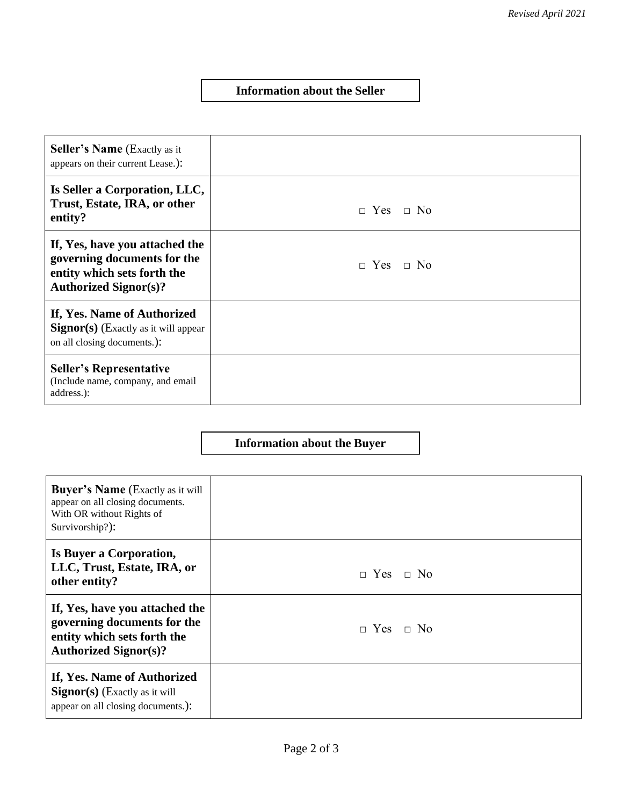#### **Information about the Seller**

| <b>Seller's Name</b> (Exactly as it<br>appears on their current Lease.):                                                     |                      |
|------------------------------------------------------------------------------------------------------------------------------|----------------------|
| Is Seller a Corporation, LLC,<br>Trust, Estate, IRA, or other<br>entity?                                                     | $\Box$ Yes $\Box$ No |
| If, Yes, have you attached the<br>governing documents for the<br>entity which sets forth the<br><b>Authorized Signor(s)?</b> | $\Box$ Yes $\Box$ No |
| If, Yes. Name of Authorized<br>$Signor(s)$ (Exactly as it will appear<br>on all closing documents.):                         |                      |
| <b>Seller's Representative</b><br>(Include name, company, and email<br>address.):                                            |                      |

# **Information about the Buyer**

| <b>Buyer's Name</b> (Exactly as it will<br>appear on all closing documents.<br>With OR without Rights of<br>Survivorship?):  |                      |
|------------------------------------------------------------------------------------------------------------------------------|----------------------|
| Is Buyer a Corporation,<br>LLC, Trust, Estate, IRA, or<br>other entity?                                                      | $\Box$ Yes $\Box$ No |
| If, Yes, have you attached the<br>governing documents for the<br>entity which sets forth the<br><b>Authorized Signor(s)?</b> | $\Box$ Yes $\Box$ No |
| If, Yes. Name of Authorized<br>$Signor(s)$ (Exactly as it will<br>appear on all closing documents.):                         |                      |